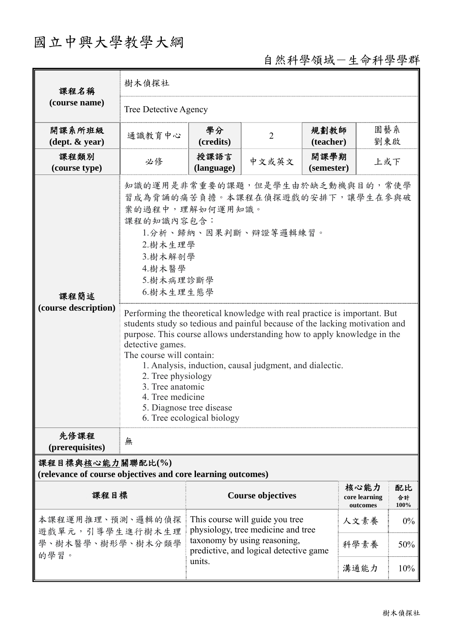## 國立中興大學教學大綱

## 自然科學領域-生命科學學群

| 課程名稱                                                                                                                                                                                                                         | 樹木偵探社                                                                                                                                                                                                                                                                                                                                                                                                                                                                                                                                                                                                                                                                |                    |                          |                    |                                   |                  |  |  |
|------------------------------------------------------------------------------------------------------------------------------------------------------------------------------------------------------------------------------|----------------------------------------------------------------------------------------------------------------------------------------------------------------------------------------------------------------------------------------------------------------------------------------------------------------------------------------------------------------------------------------------------------------------------------------------------------------------------------------------------------------------------------------------------------------------------------------------------------------------------------------------------------------------|--------------------|--------------------------|--------------------|-----------------------------------|------------------|--|--|
| (course name)                                                                                                                                                                                                                | Tree Detective Agency                                                                                                                                                                                                                                                                                                                                                                                                                                                                                                                                                                                                                                                |                    |                          |                    |                                   |                  |  |  |
| 開課系所班級<br>$(\text{dept.} \& \text{ year})$                                                                                                                                                                                   | 通識教育中心                                                                                                                                                                                                                                                                                                                                                                                                                                                                                                                                                                                                                                                               | 學分<br>(credits)    | $\overline{2}$           | 規劃教師<br>(teacher)  | 園藝系<br>劉東啟                        |                  |  |  |
| 課程類別<br>(course type)                                                                                                                                                                                                        | 必修                                                                                                                                                                                                                                                                                                                                                                                                                                                                                                                                                                                                                                                                   | 授課語言<br>(language) | 中文或英文                    | 開課學期<br>(semester) | 上或下                               |                  |  |  |
| 課程簡述<br>(course description)                                                                                                                                                                                                 | 知識的運用是非常重要的課題,但是學生由於缺乏動機與目的,常使學<br>習成為背誦的痛苦負擔。本課程在偵探遊戲的安排下,讓學生在參與破<br>案的過程中,理解如何運用知識。<br>課程的知識內容包含:<br>1.分析、歸納、因果判斷、辯證等邏輯練習。<br>2. 樹木生理學<br>3. 樹木解剖學<br>4. 樹木醫學<br>5.樹木病理診斷學<br>6. 樹木生理生態學<br>Performing the theoretical knowledge with real practice is important. But<br>students study so tedious and painful because of the lacking motivation and<br>purpose. This course allows understanding how to apply knowledge in the<br>detective games.<br>The course will contain:<br>1. Analysis, induction, causal judgment, and dialectic.<br>2. Tree physiology<br>3. Tree anatomic<br>4. Tree medicine<br>5. Diagnose tree disease<br>6. Tree ecological biology |                    |                          |                    |                                   |                  |  |  |
| 先修課程<br>(prerequisites)                                                                                                                                                                                                      | 無                                                                                                                                                                                                                                                                                                                                                                                                                                                                                                                                                                                                                                                                    |                    |                          |                    |                                   |                  |  |  |
| 課程目標與核心能力關聯配比(%)<br>(relevance of course objectives and core learning outcomes)                                                                                                                                              |                                                                                                                                                                                                                                                                                                                                                                                                                                                                                                                                                                                                                                                                      |                    |                          |                    |                                   |                  |  |  |
| 課程目標                                                                                                                                                                                                                         |                                                                                                                                                                                                                                                                                                                                                                                                                                                                                                                                                                                                                                                                      |                    | <b>Course objectives</b> |                    | 核心能力<br>core learning<br>outcomes | 配比<br>合計<br>100% |  |  |
| 本課程運用推理、預測、邏輯的偵探<br>This course will guide you tree<br>physiology, tree medicine and tree<br>遊戲單元,引導學生進行樹木生理<br>taxonomy by using reasoning,<br>學、樹木醫學、樹形學、樹木分類學<br>predictive, and logical detective game<br>的學習。<br>units. |                                                                                                                                                                                                                                                                                                                                                                                                                                                                                                                                                                                                                                                                      |                    |                          |                    | 人文素養                              | $0\%$            |  |  |
|                                                                                                                                                                                                                              |                                                                                                                                                                                                                                                                                                                                                                                                                                                                                                                                                                                                                                                                      |                    |                          |                    | 科學素養                              | 50%              |  |  |
|                                                                                                                                                                                                                              |                                                                                                                                                                                                                                                                                                                                                                                                                                                                                                                                                                                                                                                                      | 溝通能力               | 10%                      |                    |                                   |                  |  |  |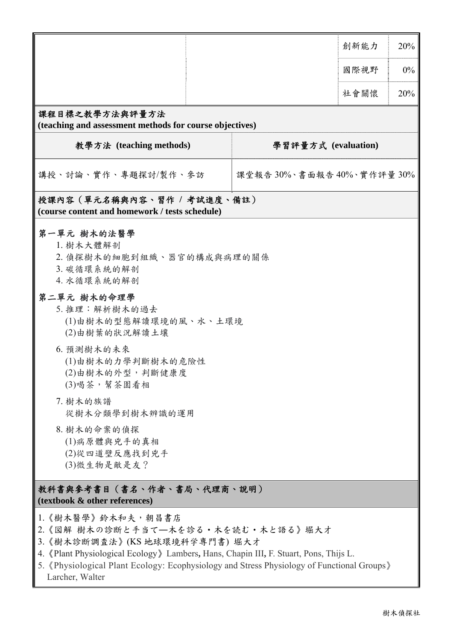|                                                                                                                                                                                                                                                                                                                                 |                            | 創新能力 | 20%   |  |  |  |  |
|---------------------------------------------------------------------------------------------------------------------------------------------------------------------------------------------------------------------------------------------------------------------------------------------------------------------------------|----------------------------|------|-------|--|--|--|--|
|                                                                                                                                                                                                                                                                                                                                 |                            | 國際視野 | $0\%$ |  |  |  |  |
|                                                                                                                                                                                                                                                                                                                                 |                            | 社會關懷 | 20%   |  |  |  |  |
| 課程目標之教學方法與評量方法<br>(teaching and assessment methods for course objectives)                                                                                                                                                                                                                                                       |                            |      |       |  |  |  |  |
| 教學方法 (teaching methods)<br>學習評量方式 (evaluation)                                                                                                                                                                                                                                                                                  |                            |      |       |  |  |  |  |
| 講授、討論、實作、專題探討/製作、參訪                                                                                                                                                                                                                                                                                                             | 課堂報告 30%、書面報告 40%、實作評量 30% |      |       |  |  |  |  |
| 授課內容(單元名稱與內容、習作 / 考試進度、備註)<br>(course content and homework / tests schedule)                                                                                                                                                                                                                                                    |                            |      |       |  |  |  |  |
| 第一單元 樹木的法醫學<br>1. 樹木大體解剖<br>2. 偵探樹木的細胞到組織、器官的構成與病理的關係<br>3. 碳循環系統的解剖<br>4. 水循環系統的解剖<br>第二單元 樹木的命理學<br>5. 推理:解析樹木的過去<br>(1)由樹木的型態解讀環境的風、水、土環境<br>(2)由樹葉的狀況解讀土壤<br>6. 預測樹木的未來<br>(1)由樹木的力學判斷樹木的危險性<br>(2)由樹木的外型,判斷健康度<br>(3)喝茶,幫茶園看相<br>7. 樹木的族譜<br>從樹木分類學到樹木辨識的運用<br>8. 樹木的命案的偵探<br>(1)病原體與兇手的真相<br>(2)從四道壁反應找到兇手<br>(3)微生物是敵是友? |                            |      |       |  |  |  |  |
| 教科書與參考書目(書名、作者、書局、代理商、説明)<br>(textbook & other references)                                                                                                                                                                                                                                                                      |                            |      |       |  |  |  |  |
| 1. 《樹木醫學》鈴木和夫, 朝昌書店<br>2.《図解 樹木の診断と手当て―木を診る・木を読む・木と語る》堀大才<br>3.《樹木診断調查法》(KS 地球環境科学専門書) 堀大才<br>4. «Plant Physiological Ecology» Lambers, Hans, Chapin III, F. Stuart, Pons, Thijs L.<br>5. 《Physiological Plant Ecology: Ecophysiology and Stress Physiology of Functional Groups》<br>Larcher, Walter                            |                            |      |       |  |  |  |  |